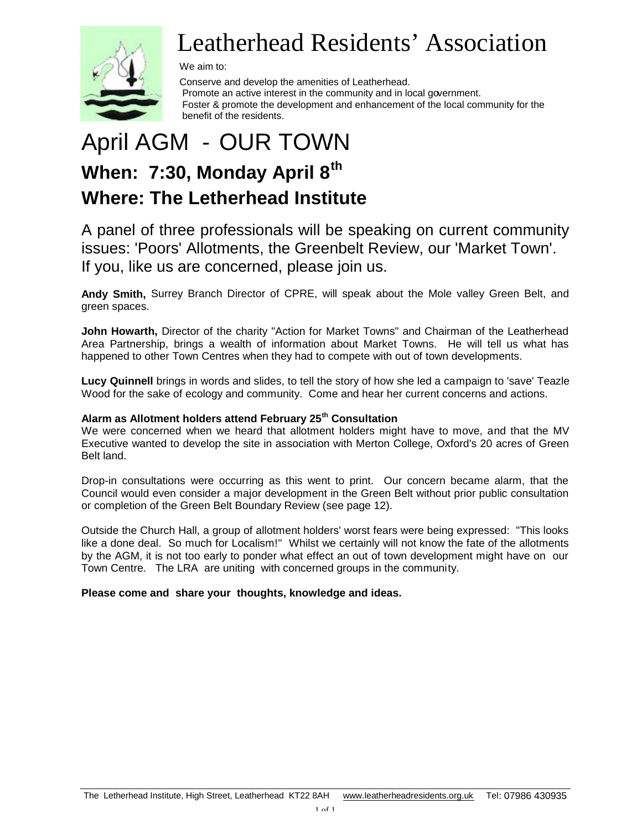

# Leatherhead Residents' Association

We aim to:

 Conserve and develop the amenities of Leatherhead. Promote an active interest in the community and in local government. Foster & promote the development and enhancement of the local community for the benefit of the residents.

# April AGM - OUR TOWN **When: 7:30, Monday April 8th Where: The Letherhead Institute**

A panel of three professionals will be speaking on current community issues: 'Poors' Allotments, the Greenbelt Review, our 'Market Town'. If you, like us are concerned, please join us.

**Andy Smith,** Surrey Branch Director of CPRE, will speak about the Mole valley Green Belt, and green spaces.

**John Howarth,** Director of the charity "Action for Market Towns" and Chairman of the Leatherhead Area Partnership, brings a wealth of information about Market Towns. He will tell us what has happened to other Town Centres when they had to compete with out of town developments.

**Lucy Quinnell** brings in words and slides, to tell the story of how she led a campaign to 'save' Teazle Wood for the sake of ecology and community. Come and hear her current concerns and actions.

#### **Alarm as Allotment holders attend February 25th Consultation**

We were concerned when we heard that allotment holders might have to move, and that the MV Executive wanted to develop the site in association with Merton College, Oxford's 20 acres of Green Belt land.

Drop-in consultations were occurring as this went to print. Our concern became alarm, that the Council would even consider a major development in the Green Belt without prior public consultation or completion of the Green Belt Boundary Review (see page 12).

Outside the Church Hall, a group of allotment holders' worst fears were being expressed: "This looks like a done deal. So much for Localism!" Whilst we certainly will not know the fate of the allotments by the AGM, it is not too early to ponder what effect an out of town development might have on our Town Centre. The LRA are uniting with concerned groups in the community.

#### **Please come and share your thoughts, knowledge and ideas.**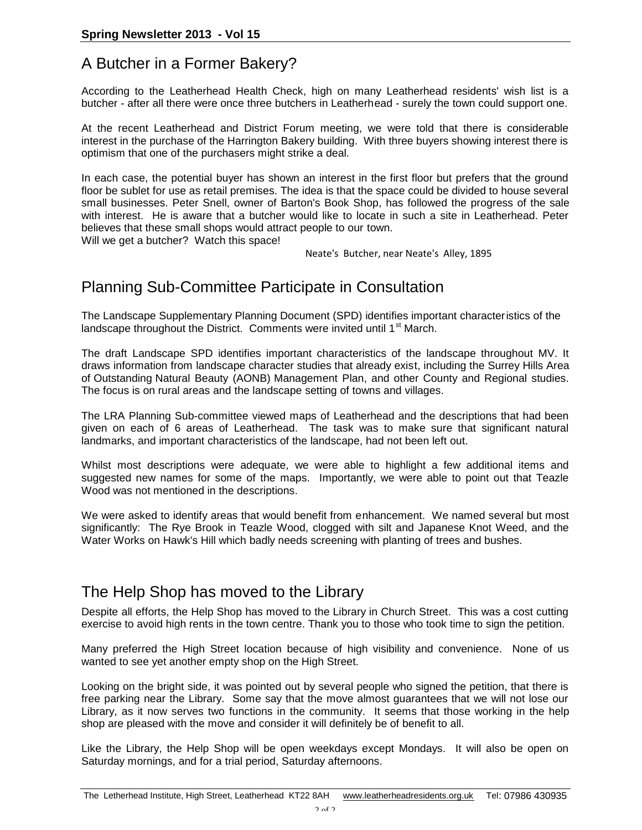# A Butcher in a Former Bakery?

According to the Leatherhead Health Check, high on many Leatherhead residents' wish list is a butcher - after all there were once three butchers in Leatherhead - surely the town could support one.

At the recent Leatherhead and District Forum meeting, we were told that there is considerable interest in the purchase of the Harrington Bakery building. With three buyers showing interest there is optimism that one of the purchasers might strike a deal.

In each case, the potential buyer has shown an interest in the first floor but prefers that the ground floor be sublet for use as retail premises. The idea is that the space could be divided to house several small businesses. Peter Snell, owner of Barton's Book Shop, has followed the progress of the sale with interest. He is aware that a butcher would like to locate in such a site in Leatherhead. Peter believes that these small shops would attract people to our town.

Will we get a butcher? Watch this space!

Neate's Butcher, near Neate's Alley, 1895

# Planning Sub-Committee Participate in Consultation

The Landscape Supplementary Planning Document (SPD) identifies important characteristics of the landscape throughout the District. Comments were invited until  $1<sup>st</sup>$  March.

The draft Landscape SPD identifies important characteristics of the landscape throughout MV. It draws information from landscape character studies that already exist, including the Surrey Hills Area of Outstanding Natural Beauty (AONB) Management Plan, and other County and Regional studies. The focus is on rural areas and the landscape setting of towns and villages.

The LRA Planning Sub-committee viewed maps of Leatherhead and the descriptions that had been given on each of 6 areas of Leatherhead. The task was to make sure that significant natural landmarks, and important characteristics of the landscape, had not been left out.

Whilst most descriptions were adequate, we were able to highlight a few additional items and suggested new names for some of the maps. Importantly, we were able to point out that Teazle Wood was not mentioned in the descriptions.

We were asked to identify areas that would benefit from enhancement. We named several but most significantly: The Rye Brook in Teazle Wood, clogged with silt and Japanese Knot Weed, and the Water Works on Hawk's Hill which badly needs screening with planting of trees and bushes.

# The Help Shop has moved to the Library

Despite all efforts, the Help Shop has moved to the Library in Church Street. This was a cost cutting exercise to avoid high rents in the town centre. Thank you to those who took time to sign the petition.

Many preferred the High Street location because of high visibility and convenience. None of us wanted to see yet another empty shop on the High Street.

Looking on the bright side, it was pointed out by several people who signed the petition, that there is free parking near the Library. Some say that the move almost guarantees that we will not lose our Library, as it now serves two functions in the community. It seems that those working in the help shop are pleased with the move and consider it will definitely be of benefit to all.

Like the Library, the Help Shop will be open weekdays except Mondays. It will also be open on Saturday mornings, and for a trial period, Saturday afternoons.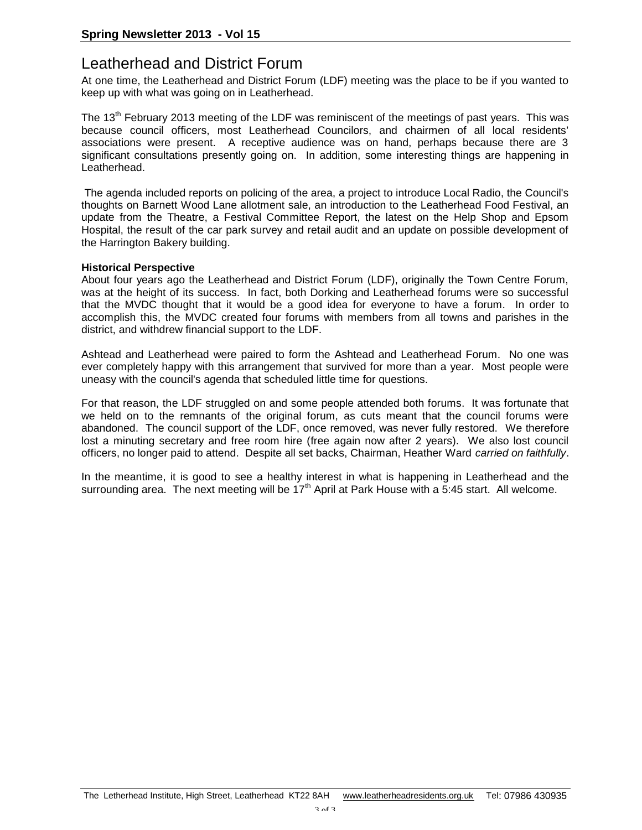# Leatherhead and District Forum

At one time, the Leatherhead and District Forum (LDF) meeting was the place to be if you wanted to keep up with what was going on in Leatherhead.

The 13<sup>th</sup> February 2013 meeting of the LDF was reminiscent of the meetings of past years. This was because council officers, most Leatherhead Councilors, and chairmen of all local residents' associations were present. A receptive audience was on hand, perhaps because there are 3 significant consultations presently going on. In addition, some interesting things are happening in Leatherhead.

The agenda included reports on policing of the area, a project to introduce Local Radio, the Council's thoughts on Barnett Wood Lane allotment sale, an introduction to the Leatherhead Food Festival, an update from the Theatre, a Festival Committee Report, the latest on the Help Shop and Epsom Hospital, the result of the car park survey and retail audit and an update on possible development of the Harrington Bakery building.

#### **Historical Perspective**

About four years ago the Leatherhead and District Forum (LDF), originally the Town Centre Forum, was at the height of its success. In fact, both Dorking and Leatherhead forums were so successful that the MVDC thought that it would be a good idea for everyone to have a forum. In order to accomplish this, the MVDC created four forums with members from all towns and parishes in the district, and withdrew financial support to the LDF.

Ashtead and Leatherhead were paired to form the Ashtead and Leatherhead Forum. No one was ever completely happy with this arrangement that survived for more than a year. Most people were uneasy with the council's agenda that scheduled little time for questions.

For that reason, the LDF struggled on and some people attended both forums. It was fortunate that we held on to the remnants of the original forum, as cuts meant that the council forums were abandoned. The council support of the LDF, once removed, was never fully restored. We therefore lost a minuting secretary and free room hire (free again now after 2 years). We also lost council officers, no longer paid to attend. Despite all set backs, Chairman, Heather Ward *carried on faithfully*.

In the meantime, it is good to see a healthy interest in what is happening in Leatherhead and the surrounding area. The next meeting will be  $17<sup>th</sup>$  April at Park House with a 5:45 start. All welcome.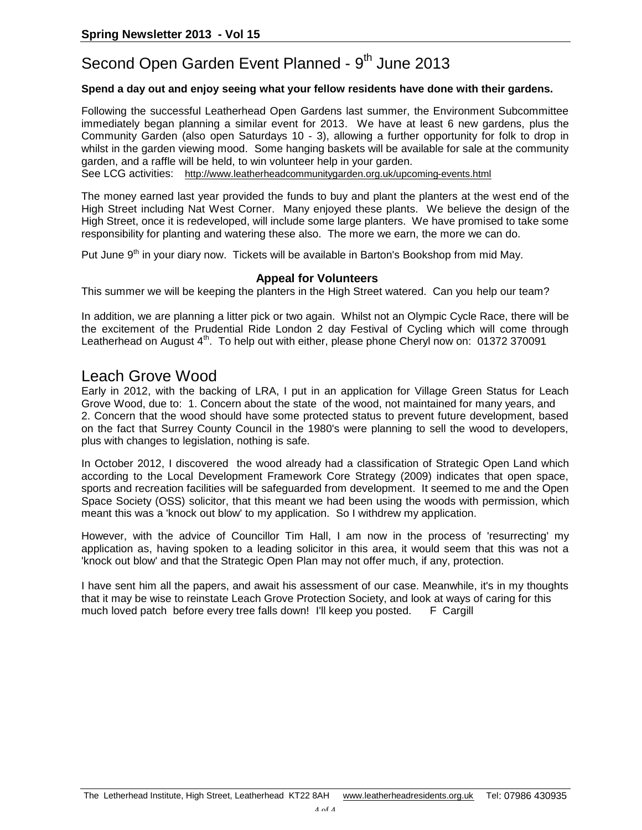# Second Open Garden Event Planned - 9<sup>th</sup> June 2013

#### **Spend a day out and enjoy seeing what your fellow residents have done with their gardens.**

Following the successful Leatherhead Open Gardens last summer, the Environment Subcommittee immediately began planning a similar event for 2013. We have at least 6 new gardens, plus the Community Garden (also open Saturdays 10 - 3), allowing a further opportunity for folk to drop in whilst in the garden viewing mood. Some hanging baskets will be available for sale at the community garden, and a raffle will be held, to win volunteer help in your garden.

See LCG activities: http://www.leatherheadcommunitygarden.org.uk/upcoming-events.html

The money earned last year provided the funds to buy and plant the planters at the west end of the High Street including Nat West Corner. Many enjoyed these plants. We believe the design of the High Street, once it is redeveloped, will include some large planters. We have promised to take some responsibility for planting and watering these also. The more we earn, the more we can do.

Put June 9<sup>th</sup> in your diary now. Tickets will be available in Barton's Bookshop from mid May.

#### **Appeal for Volunteers**

This summer we will be keeping the planters in the High Street watered. Can you help our team?

In addition, we are planning a litter pick or two again. Whilst not an Olympic Cycle Race, there will be the excitement of the Prudential Ride London 2 day Festival of Cycling which will come through Leatherhead on August  $4<sup>th</sup>$ . To help out with either, please phone Cheryl now on: 01372 370091

### Leach Grove Wood

Early in 2012, with the backing of LRA, I put in an application for Village Green Status for Leach Grove Wood, due to: 1. Concern about the state of the wood, not maintained for many years, and 2. Concern that the wood should have some protected status to prevent future development, based on the fact that Surrey County Council in the 1980's were planning to sell the wood to developers, plus with changes to legislation, nothing is safe.

In October 2012, I discovered the wood already had a classification of Strategic Open Land which according to the Local Development Framework Core Strategy (2009) indicates that open space, sports and recreation facilities will be safeguarded from development. It seemed to me and the Open Space Society (OSS) solicitor, that this meant we had been using the woods with permission, which meant this was a 'knock out blow' to my application. So I withdrew my application.

However, with the advice of Councillor Tim Hall, I am now in the process of 'resurrecting' my application as, having spoken to a leading solicitor in this area, it would seem that this was not a 'knock out blow' and that the Strategic Open Plan may not offer much, if any, protection.

I have sent him all the papers, and await his assessment of our case. Meanwhile, it's in my thoughts that it may be wise to reinstate Leach Grove Protection Society, and look at ways of caring for this much loved patch before every tree falls down! I'll keep you posted. F Cargill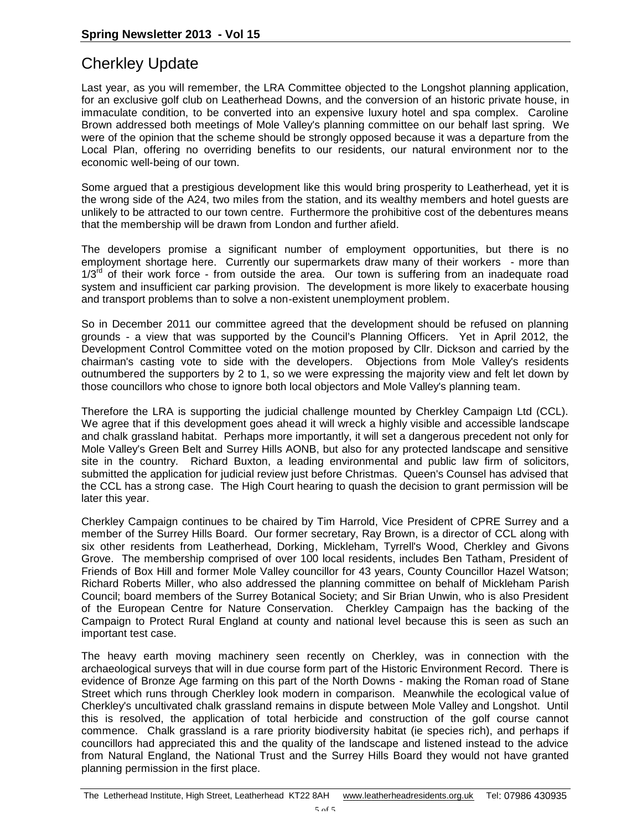# Cherkley Update

Last year, as you will remember, the LRA Committee objected to the Longshot planning application, for an exclusive golf club on Leatherhead Downs, and the conversion of an historic private house, in immaculate condition, to be converted into an expensive luxury hotel and spa complex. Caroline Brown addressed both meetings of Mole Valley's planning committee on our behalf last spring. We were of the opinion that the scheme should be strongly opposed because it was a departure from the Local Plan, offering no overriding benefits to our residents, our natural environment nor to the economic well-being of our town.

Some argued that a prestigious development like this would bring prosperity to Leatherhead, yet it is the wrong side of the A24, two miles from the station, and its wealthy members and hotel guests are unlikely to be attracted to our town centre. Furthermore the prohibitive cost of the debentures means that the membership will be drawn from London and further afield.

The developers promise a significant number of employment opportunities, but there is no employment shortage here. Currently our supermarkets draw many of their workers - more than  $1/3<sup>rd</sup>$  of their work force - from outside the area. Our town is suffering from an inadequate road system and insufficient car parking provision. The development is more likely to exacerbate housing and transport problems than to solve a non-existent unemployment problem.

So in December 2011 our committee agreed that the development should be refused on planning grounds - a view that was supported by the Council's Planning Officers. Yet in April 2012, the Development Control Committee voted on the motion proposed by Cllr. Dickson and carried by the chairman's casting vote to side with the developers. Objections from Mole Valley's residents outnumbered the supporters by 2 to 1, so we were expressing the majority view and felt let down by those councillors who chose to ignore both local objectors and Mole Valley's planning team.

Therefore the LRA is supporting the judicial challenge mounted by Cherkley Campaign Ltd (CCL). We agree that if this development goes ahead it will wreck a highly visible and accessible landscape and chalk grassland habitat. Perhaps more importantly, it will set a dangerous precedent not only for Mole Valley's Green Belt and Surrey Hills AONB, but also for any protected landscape and sensitive site in the country. Richard Buxton, a leading environmental and public law firm of solicitors, submitted the application for judicial review just before Christmas. Queen's Counsel has advised that the CCL has a strong case. The High Court hearing to quash the decision to grant permission will be later this year.

Cherkley Campaign continues to be chaired by Tim Harrold, Vice President of CPRE Surrey and a member of the Surrey Hills Board. Our former secretary, Ray Brown, is a director of CCL along with six other residents from Leatherhead, Dorking, Mickleham, Tyrrell's Wood, Cherkley and Givons Grove. The membership comprised of over 100 local residents, includes Ben Tatham, President of Friends of Box Hill and former Mole Valley councillor for 43 years, County Councillor Hazel Watson; Richard Roberts Miller, who also addressed the planning committee on behalf of Mickleham Parish Council; board members of the Surrey Botanical Society; and Sir Brian Unwin, who is also President of the European Centre for Nature Conservation. Cherkley Campaign has the backing of the Campaign to Protect Rural England at county and national level because this is seen as such an important test case.

The heavy earth moving machinery seen recently on Cherkley, was in connection with the archaeological surveys that will in due course form part of the Historic Environment Record. There is evidence of Bronze Age farming on this part of the North Downs - making the Roman road of Stane Street which runs through Cherkley look modern in comparison. Meanwhile the ecological value of Cherkley's uncultivated chalk grassland remains in dispute between Mole Valley and Longshot. Until this is resolved, the application of total herbicide and construction of the golf course cannot commence. Chalk grassland is a rare priority biodiversity habitat (ie species rich), and perhaps if councillors had appreciated this and the quality of the landscape and listened instead to the advice from Natural England, the National Trust and the Surrey Hills Board they would not have granted planning permission in the first place.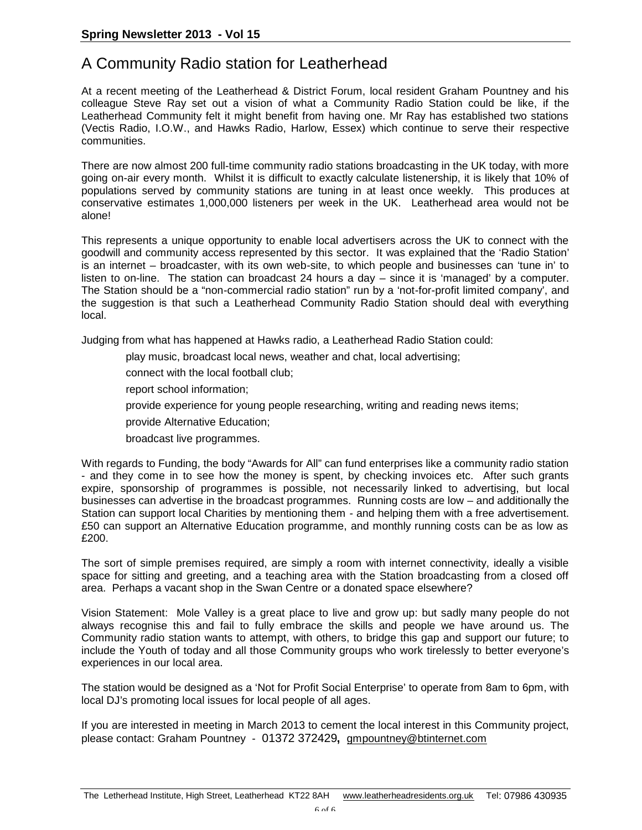# A Community Radio station for Leatherhead

At a recent meeting of the Leatherhead & District Forum, local resident Graham Pountney and his colleague Steve Ray set out a vision of what a Community Radio Station could be like, if the Leatherhead Community felt it might benefit from having one. Mr Ray has established two stations (Vectis Radio, I.O.W., and Hawks Radio, Harlow, Essex) which continue to serve their respective communities.

There are now almost 200 full-time community radio stations broadcasting in the UK today, with more going on-air every month. Whilst it is difficult to exactly calculate listenership, it is likely that 10% of populations served by community stations are tuning in at least once weekly. This produces at conservative estimates 1,000,000 listeners per week in the UK. Leatherhead area would not be alone!

This represents a unique opportunity to enable local advertisers across the UK to connect with the goodwill and community access represented by this sector. It was explained that the 'Radio Station' is an internet – broadcaster, with its own web-site, to which people and businesses can 'tune in' to listen to on-line. The station can broadcast 24 hours a day – since it is 'managed' by a computer. The Station should be a "non-commercial radio station" run by a 'not-for-profit limited company', and the suggestion is that such a Leatherhead Community Radio Station should deal with everything local.

Judging from what has happened at Hawks radio, a Leatherhead Radio Station could:

- play music, broadcast local news, weather and chat, local advertising;
- connect with the local football club;
- report school information;
- provide experience for young people researching, writing and reading news items;
- provide Alternative Education;
- broadcast live programmes.

With regards to Funding, the body "Awards for All" can fund enterprises like a community radio station - and they come in to see how the money is spent, by checking invoices etc. After such grants expire, sponsorship of programmes is possible, not necessarily linked to advertising, but local businesses can advertise in the broadcast programmes. Running costs are low – and additionally the Station can support local Charities by mentioning them - and helping them with a free advertisement. £50 can support an Alternative Education programme, and monthly running costs can be as low as £200.

The sort of simple premises required, are simply a room with internet connectivity, ideally a visible space for sitting and greeting, and a teaching area with the Station broadcasting from a closed off area. Perhaps a vacant shop in the Swan Centre or a donated space elsewhere?

Vision Statement: Mole Valley is a great place to live and grow up: but sadly many people do not always recognise this and fail to fully embrace the skills and people we have around us. The Community radio station wants to attempt, with others, to bridge this gap and support our future; to include the Youth of today and all those Community groups who work tirelessly to better everyone's experiences in our local area.

The station would be designed as a 'Not for Profit Social Enterprise' to operate from 8am to 6pm, with local DJ's promoting local issues for local people of all ages.

If you are interested in meeting in March 2013 to cement the local interest in this Community project, please contact: Graham Pountney - 01372 372429**,** gmpountney@btinternet.com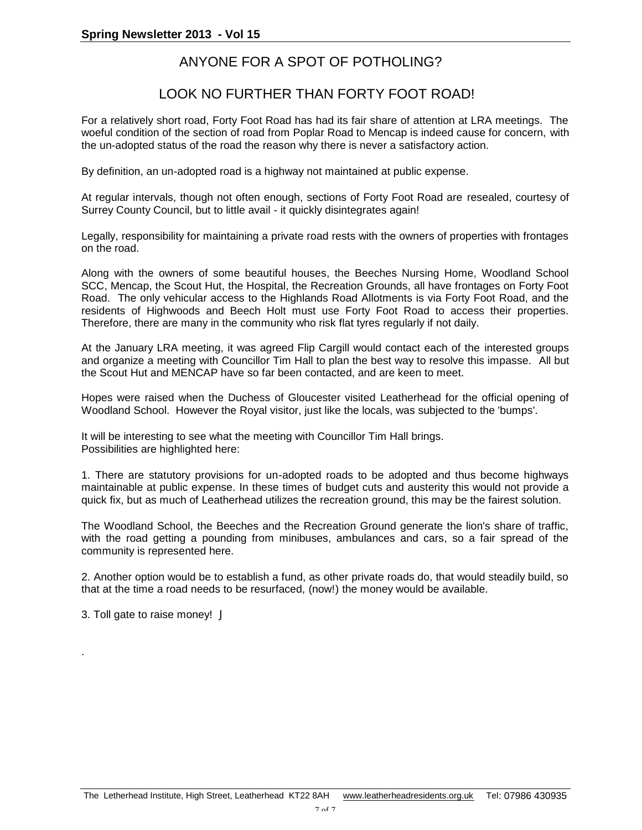### ANYONE FOR A SPOT OF POTHOLING?

### LOOK NO FURTHER THAN FORTY FOOT ROAD!

For a relatively short road, Forty Foot Road has had its fair share of attention at LRA meetings. The woeful condition of the section of road from Poplar Road to Mencap is indeed cause for concern, with the un-adopted status of the road the reason why there is never a satisfactory action.

By definition, an un-adopted road is a highway not maintained at public expense.

At regular intervals, though not often enough, sections of Forty Foot Road are resealed, courtesy of Surrey County Council, but to little avail - it quickly disintegrates again!

Legally, responsibility for maintaining a private road rests with the owners of properties with frontages on the road.

Along with the owners of some beautiful houses, the Beeches Nursing Home, Woodland School SCC, Mencap, the Scout Hut, the Hospital, the Recreation Grounds, all have frontages on Forty Foot Road. The only vehicular access to the Highlands Road Allotments is via Forty Foot Road, and the residents of Highwoods and Beech Holt must use Forty Foot Road to access their properties. Therefore, there are many in the community who risk flat tyres regularly if not daily.

At the January LRA meeting, it was agreed Flip Cargill would contact each of the interested groups and organize a meeting with Councillor Tim Hall to plan the best way to resolve this impasse. All but the Scout Hut and MENCAP have so far been contacted, and are keen to meet.

Hopes were raised when the Duchess of Gloucester visited Leatherhead for the official opening of Woodland School. However the Royal visitor, just like the locals, was subjected to the 'bumps'.

It will be interesting to see what the meeting with Councillor Tim Hall brings. Possibilities are highlighted here:

1. There are statutory provisions for un-adopted roads to be adopted and thus become highways maintainable at public expense. In these times of budget cuts and austerity this would not provide a quick fix, but as much of Leatherhead utilizes the recreation ground, this may be the fairest solution.

The Woodland School, the Beeches and the Recreation Ground generate the lion's share of traffic, with the road getting a pounding from minibuses, ambulances and cars, so a fair spread of the community is represented here.

2. Another option would be to establish a fund, as other private roads do, that would steadily build, so that at the time a road needs to be resurfaced, (now!) the money would be available.

3. Toll gate to raise money! J

.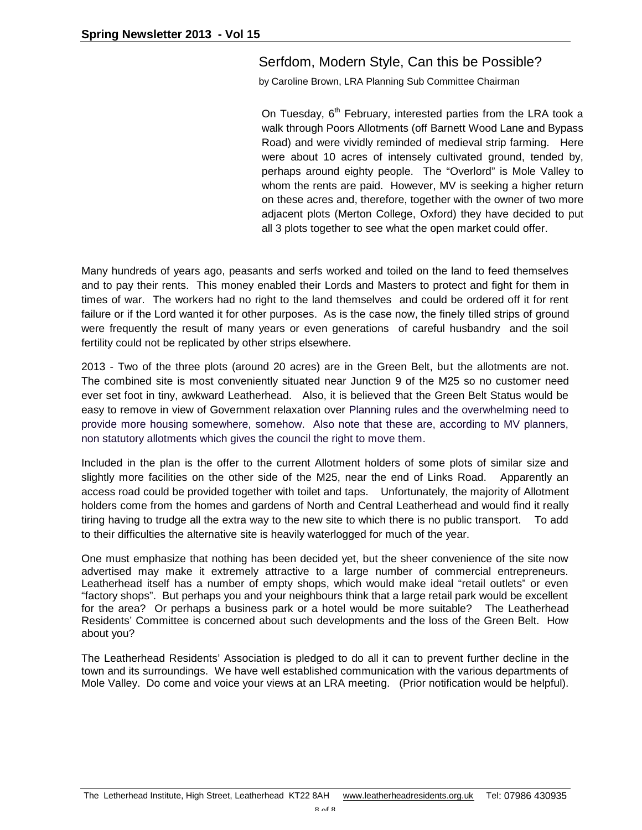#### Serfdom, Modern Style, Can this be Possible?

by Caroline Brown, LRA Planning Sub Committee Chairman

On Tuesday,  $6<sup>th</sup>$  February, interested parties from the LRA took a walk through Poors Allotments (off Barnett Wood Lane and Bypass Road) and were vividly reminded of medieval strip farming. Here were about 10 acres of intensely cultivated ground, tended by, perhaps around eighty people. The "Overlord" is Mole Valley to whom the rents are paid. However, MV is seeking a higher return on these acres and, therefore, together with the owner of two more adjacent plots (Merton College, Oxford) they have decided to put all 3 plots together to see what the open market could offer.

Many hundreds of years ago, peasants and serfs worked and toiled on the land to feed themselves and to pay their rents. This money enabled their Lords and Masters to protect and fight for them in times of war. The workers had no right to the land themselves and could be ordered off it for rent failure or if the Lord wanted it for other purposes. As is the case now, the finely tilled strips of ground were frequently the result of many years or even generations of careful husbandry and the soil fertility could not be replicated by other strips elsewhere.

2013 - Two of the three plots (around 20 acres) are in the Green Belt, but the allotments are not. The combined site is most conveniently situated near Junction 9 of the M25 so no customer need ever set foot in tiny, awkward Leatherhead. Also, it is believed that the Green Belt Status would be easy to remove in view of Government relaxation over Planning rules and the overwhelming need to provide more housing somewhere, somehow. Also note that these are, according to MV planners, non statutory allotments which gives the council the right to move them.

Included in the plan is the offer to the current Allotment holders of some plots of similar size and slightly more facilities on the other side of the M25, near the end of Links Road. Apparently an access road could be provided together with toilet and taps. Unfortunately, the majority of Allotment holders come from the homes and gardens of North and Central Leatherhead and would find it really tiring having to trudge all the extra way to the new site to which there is no public transport. To add to their difficulties the alternative site is heavily waterlogged for much of the year.

One must emphasize that nothing has been decided yet, but the sheer convenience of the site now advertised may make it extremely attractive to a large number of commercial entrepreneurs. Leatherhead itself has a number of empty shops, which would make ideal "retail outlets" or even "factory shops". But perhaps you and your neighbours think that a large retail park would be excellent for the area? Or perhaps a business park or a hotel would be more suitable? The Leatherhead Residents' Committee is concerned about such developments and the loss of the Green Belt. How about you?

The Leatherhead Residents' Association is pledged to do all it can to prevent further decline in the town and its surroundings. We have well established communication with the various departments of Mole Valley. Do come and voice your views at an LRA meeting. (Prior notification would be helpful).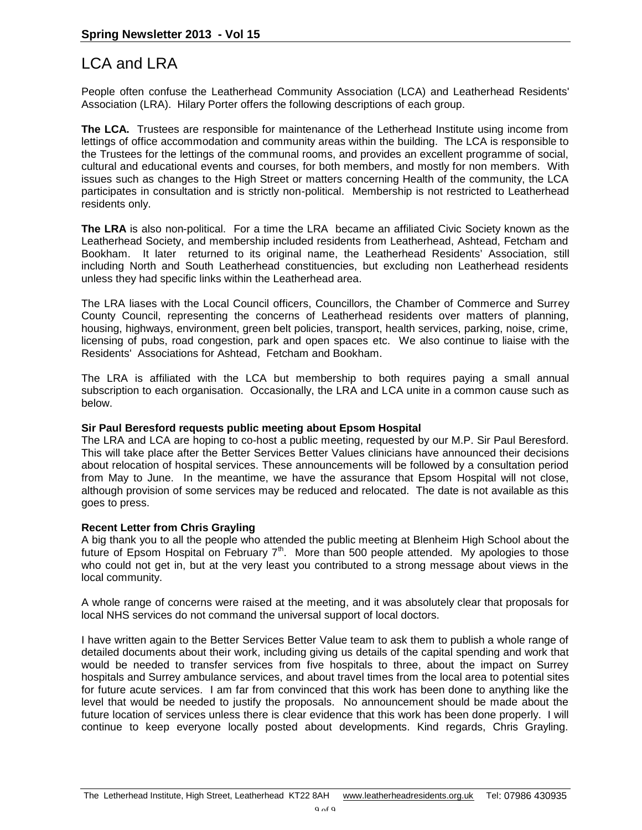# LCA and LRA

People often confuse the Leatherhead Community Association (LCA) and Leatherhead Residents' Association (LRA). Hilary Porter offers the following descriptions of each group.

**The LCA.** Trustees are responsible for maintenance of the Letherhead Institute using income from lettings of office accommodation and community areas within the building. The LCA is responsible to the Trustees for the lettings of the communal rooms, and provides an excellent programme of social, cultural and educational events and courses, for both members, and mostly for non members. With issues such as changes to the High Street or matters concerning Health of the community, the LCA participates in consultation and is strictly non-political. Membership is not restricted to Leatherhead residents only.

**The LRA** is also non-political. For a time the LRA became an affiliated Civic Society known as the Leatherhead Society, and membership included residents from Leatherhead, Ashtead, Fetcham and Bookham. It later returned to its original name, the Leatherhead Residents' Association, still including North and South Leatherhead constituencies, but excluding non Leatherhead residents unless they had specific links within the Leatherhead area.

The LRA liases with the Local Council officers, Councillors, the Chamber of Commerce and Surrey County Council, representing the concerns of Leatherhead residents over matters of planning, housing, highways, environment, green belt policies, transport, health services, parking, noise, crime, licensing of pubs, road congestion, park and open spaces etc. We also continue to liaise with the Residents' Associations for Ashtead, Fetcham and Bookham.

The LRA is affiliated with the LCA but membership to both requires paying a small annual subscription to each organisation. Occasionally, the LRA and LCA unite in a common cause such as below.

#### **Sir Paul Beresford requests public meeting about Epsom Hospital**

The LRA and LCA are hoping to co-host a public meeting, requested by our M.P. Sir Paul Beresford. This will take place after the Better Services Better Values clinicians have announced their decisions about relocation of hospital services. These announcements will be followed by a consultation period from May to June. In the meantime, we have the assurance that Epsom Hospital will not close, although provision of some services may be reduced and relocated. The date is not available as this goes to press.

#### **Recent Letter from Chris Grayling**

A big thank you to all the people who attended the public meeting at Blenheim High School about the future of Epsom Hospital on February  $7<sup>th</sup>$ . More than 500 people attended. My apologies to those who could not get in, but at the very least you contributed to a strong message about views in the local community.

A whole range of concerns were raised at the meeting, and it was absolutely clear that proposals for local NHS services do not command the universal support of local doctors.

I have written again to the Better Services Better Value team to ask them to publish a whole range of detailed documents about their work, including giving us details of the capital spending and work that would be needed to transfer services from five hospitals to three, about the impact on Surrey hospitals and Surrey ambulance services, and about travel times from the local area to potential sites for future acute services. I am far from convinced that this work has been done to anything like the level that would be needed to justify the proposals. No announcement should be made about the future location of services unless there is clear evidence that this work has been done properly. I will continue to keep everyone locally posted about developments. Kind regards, Chris Grayling.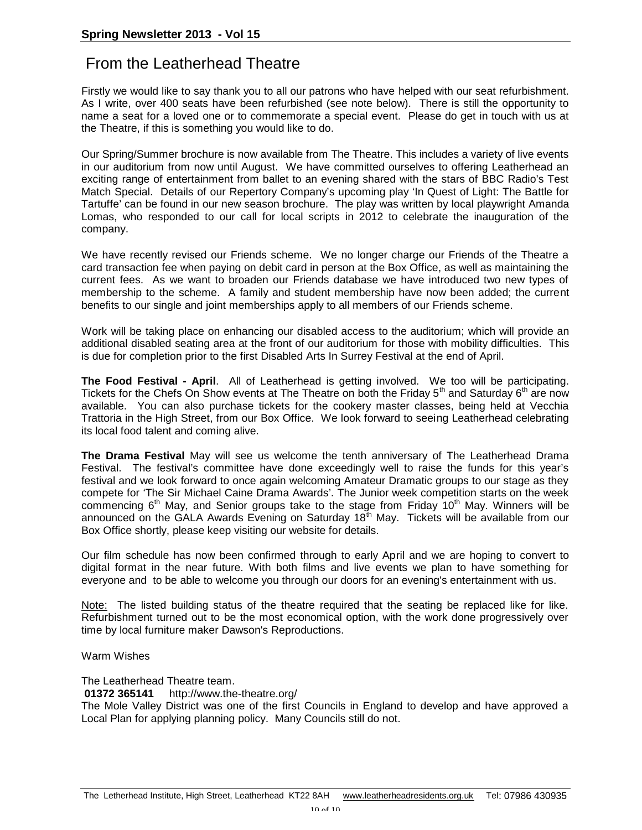# From the Leatherhead Theatre

Firstly we would like to say thank you to all our patrons who have helped with our seat refurbishment. As I write, over 400 seats have been refurbished (see note below). There is still the opportunity to name a seat for a loved one or to commemorate a special event. Please do get in touch with us at the Theatre, if this is something you would like to do.

Our Spring/Summer brochure is now available from The Theatre. This includes a variety of live events in our auditorium from now until August. We have committed ourselves to offering Leatherhead an exciting range of entertainment from ballet to an evening shared with the stars of BBC Radio's Test Match Special. Details of our Repertory Company's upcoming play 'In Quest of Light: The Battle for Tartuffe' can be found in our new season brochure. The play was written by local playwright Amanda Lomas, who responded to our call for local scripts in 2012 to celebrate the inauguration of the company.

We have recently revised our Friends scheme. We no longer charge our Friends of the Theatre a card transaction fee when paying on debit card in person at the Box Office, as well as maintaining the current fees. As we want to broaden our Friends database we have introduced two new types of membership to the scheme. A family and student membership have now been added; the current benefits to our single and joint memberships apply to all members of our Friends scheme.

Work will be taking place on enhancing our disabled access to the auditorium; which will provide an additional disabled seating area at the front of our auditorium for those with mobility difficulties. This is due for completion prior to the first Disabled Arts In Surrey Festival at the end of April.

**The Food Festival - April**. All of Leatherhead is getting involved. We too will be participating. Tickets for the Chefs On Show events at The Theatre on both the Friday  $5<sup>th</sup>$  and Saturday  $6<sup>th</sup>$  are now available. You can also purchase tickets for the cookery master classes, being held at Vecchia Trattoria in the High Street, from our Box Office. We look forward to seeing Leatherhead celebrating its local food talent and coming alive.

**The Drama Festival** May will see us welcome the tenth anniversary of The Leatherhead Drama Festival. The festival's committee have done exceedingly well to raise the funds for this year's festival and we look forward to once again welcoming Amateur Dramatic groups to our stage as they compete for 'The Sir Michael Caine Drama Awards'. The Junior week competition starts on the week commencing  $6<sup>th</sup>$  May, and Senior groups take to the stage from Friday 10<sup>th</sup> May. Winners will be announced on the GALA Awards Evening on Saturday  $18<sup>th</sup>$  May. Tickets will be available from our Box Office shortly, please keep visiting our website for details.

Our film schedule has now been confirmed through to early April and we are hoping to convert to digital format in the near future. With both films and live events we plan to have something for everyone and to be able to welcome you through our doors for an evening's entertainment with us.

Note: The listed building status of the theatre required that the seating be replaced like for like. Refurbishment turned out to be the most economical option, with the work done progressively over time by local furniture maker Dawson's Reproductions.

#### Warm Wishes

The Leatherhead Theatre team.

**01372 365141** http://www.the-theatre.org/

The Mole Valley District was one of the first Councils in England to develop and have approved a Local Plan for applying planning policy. Many Councils still do not.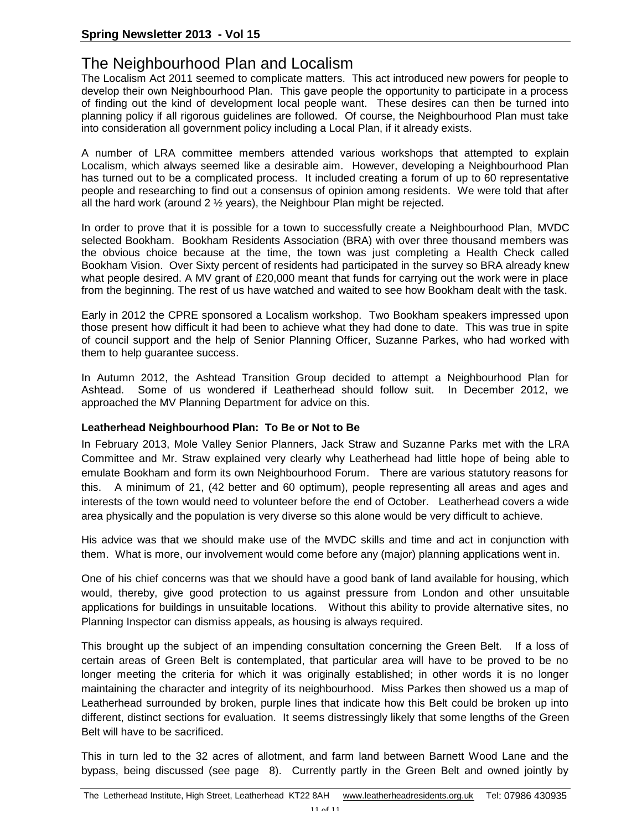# The Neighbourhood Plan and Localism

The Localism Act 2011 seemed to complicate matters. This act introduced new powers for people to develop their own Neighbourhood Plan. This gave people the opportunity to participate in a process of finding out the kind of development local people want. These desires can then be turned into planning policy if all rigorous guidelines are followed. Of course, the Neighbourhood Plan must take into consideration all government policy including a Local Plan, if it already exists.

A number of LRA committee members attended various workshops that attempted to explain Localism, which always seemed like a desirable aim. However, developing a Neighbourhood Plan has turned out to be a complicated process. It included creating a forum of up to 60 representative people and researching to find out a consensus of opinion among residents. We were told that after all the hard work (around 2  $\frac{1}{2}$  years), the Neighbour Plan might be rejected.

In order to prove that it is possible for a town to successfully create a Neighbourhood Plan, MVDC selected Bookham. Bookham Residents Association (BRA) with over three thousand members was the obvious choice because at the time, the town was just completing a Health Check called Bookham Vision. Over Sixty percent of residents had participated in the survey so BRA already knew what people desired. A MV grant of £20,000 meant that funds for carrying out the work were in place from the beginning. The rest of us have watched and waited to see how Bookham dealt with the task.

Early in 2012 the CPRE sponsored a Localism workshop. Two Bookham speakers impressed upon those present how difficult it had been to achieve what they had done to date. This was true in spite of council support and the help of Senior Planning Officer, Suzanne Parkes, who had worked with them to help guarantee success.

In Autumn 2012, the Ashtead Transition Group decided to attempt a Neighbourhood Plan for Ashtead. Some of us wondered if Leatherhead should follow suit. In December 2012, we approached the MV Planning Department for advice on this.

#### **Leatherhead Neighbourhood Plan: To Be or Not to Be**

In February 2013, Mole Valley Senior Planners, Jack Straw and Suzanne Parks met with the LRA Committee and Mr. Straw explained very clearly why Leatherhead had little hope of being able to emulate Bookham and form its own Neighbourhood Forum. There are various statutory reasons for this. A minimum of 21, (42 better and 60 optimum), people representing all areas and ages and interests of the town would need to volunteer before the end of October. Leatherhead covers a wide area physically and the population is very diverse so this alone would be very difficult to achieve.

His advice was that we should make use of the MVDC skills and time and act in conjunction with them. What is more, our involvement would come before any (major) planning applications went in.

One of his chief concerns was that we should have a good bank of land available for housing, which would, thereby, give good protection to us against pressure from London and other unsuitable applications for buildings in unsuitable locations. Without this ability to provide alternative sites, no Planning Inspector can dismiss appeals, as housing is always required.

This brought up the subject of an impending consultation concerning the Green Belt. If a loss of certain areas of Green Belt is contemplated, that particular area will have to be proved to be no longer meeting the criteria for which it was originally established; in other words it is no longer maintaining the character and integrity of its neighbourhood. Miss Parkes then showed us a map of Leatherhead surrounded by broken, purple lines that indicate how this Belt could be broken up into different, distinct sections for evaluation. It seems distressingly likely that some lengths of the Green Belt will have to be sacrificed.

This in turn led to the 32 acres of allotment, and farm land between Barnett Wood Lane and the bypass, being discussed (see page 8). Currently partly in the Green Belt and owned jointly by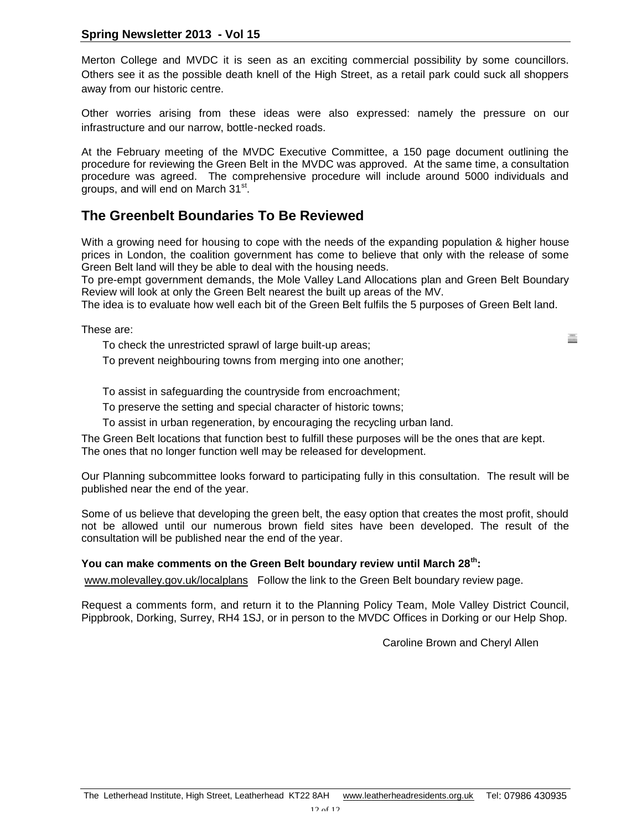#### **Spring Newsletter 2013 - Vol 15**

Merton College and MVDC it is seen as an exciting commercial possibility by some councillors. Others see it as the possible death knell of the High Street, as a retail park could suck all shoppers away from our historic centre.

Other worries arising from these ideas were also expressed: namely the pressure on our infrastructure and our narrow, bottle-necked roads.

At the February meeting of the MVDC Executive Committee, a 150 page document outlining the procedure for reviewing the Green Belt in the MVDC was approved. At the same time, a consultation procedure was agreed. The comprehensive procedure will include around 5000 individuals and groups, and will end on March 31st.

### **The Greenbelt Boundaries To Be Reviewed**

With a growing need for housing to cope with the needs of the expanding population & higher house prices in London, the coalition government has come to believe that only with the release of some Green Belt land will they be able to deal with the housing needs.

To pre-empt government demands, the Mole Valley Land Allocations plan and Green Belt Boundary Review will look at only the Green Belt nearest the built up areas of the MV.

The idea is to evaluate how well each bit of the Green Belt fulfils the 5 purposes of Green Belt land.

These are:

To check the unrestricted sprawl of large built-up areas;

To prevent neighbouring towns from merging into one another;

To assist in safeguarding the countryside from encroachment;

To preserve the setting and special character of historic towns;

To assist in urban regeneration, by encouraging the recycling urban land.

The Green Belt locations that function best to fulfill these purposes will be the ones that are kept. The ones that no longer function well may be released for development.

Our Planning subcommittee looks forward to participating fully in this consultation. The result will be published near the end of the year.

Some of us believe that developing the green belt, the easy option that creates the most profit, should not be allowed until our numerous brown field sites have been developed. The result of the consultation will be published near the end of the year.

#### **You can make comments on the Green Belt boundary review until March 28th:**

www.molevalley.gov.uk/localplans Follow the link to the Green Belt boundary review page.

Request a comments form, and return it to the Planning Policy Team, Mole Valley District Council, Pippbrook, Dorking, Surrey, RH4 1SJ, or in person to the MVDC Offices in Dorking or our Help Shop.

Caroline Brown and Cheryl Allen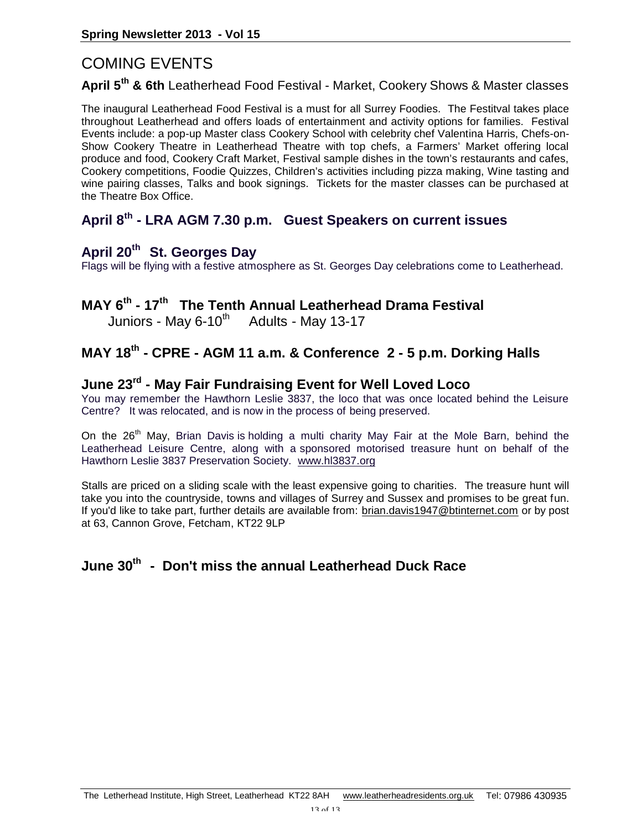# COMING EVENTS

#### **April 5th & 6th** Leatherhead Food Festival - Market, Cookery Shows & Master classes

The inaugural Leatherhead Food Festival is a must for all Surrey Foodies. The Festitval takes place throughout Leatherhead and offers loads of entertainment and activity options for families. Festival Events include: a pop-up Master class Cookery School with celebrity chef Valentina Harris, Chefs-on-Show Cookery Theatre in Leatherhead Theatre with top chefs, a Farmers' Market offering local produce and food, Cookery Craft Market, Festival sample dishes in the town's restaurants and cafes, Cookery competitions, Foodie Quizzes, Children's activities including pizza making, Wine tasting and wine pairing classes, Talks and book signings. Tickets for the master classes can be purchased at the Theatre Box Office.

### **April 8th - LRA AGM 7.30 p.m. Guest Speakers on current issues**

### **April 20th St. Georges Day**

Flags will be flying with a festive atmosphere as St. Georges Day celebrations come to Leatherhead.

### **MAY 6th - 17th The Tenth Annual Leatherhead Drama Festival**

Juniors - May  $6-10^{th}$  Adults - May 13-17

## **MAY 18th - CPRE - AGM 11 a.m. & Conference 2 - 5 p.m. Dorking Halls**

### **June 23rd - May Fair Fundraising Event for Well Loved Loco**

You may remember the Hawthorn Leslie 3837, the loco that was once located behind the Leisure Centre? It was relocated, and is now in the process of being preserved.

On the 26<sup>th</sup> May, Brian Davis is holding a multi charity May Fair at the Mole Barn, behind the Leatherhead Leisure Centre, along with a sponsored motorised treasure hunt on behalf of the Hawthorn Leslie 3837 Preservation Society. www.hl3837.org

Stalls are priced on a sliding scale with the least expensive going to charities. The treasure hunt will take you into the countryside, towns and villages of Surrey and Sussex and promises to be great fun. If you'd like to take part, further details are available from: brian.davis1947@btinternet.com or by post at 63, Cannon Grove, Fetcham, KT22 9LP

# **June 30th - Don't miss the annual Leatherhead Duck Race**